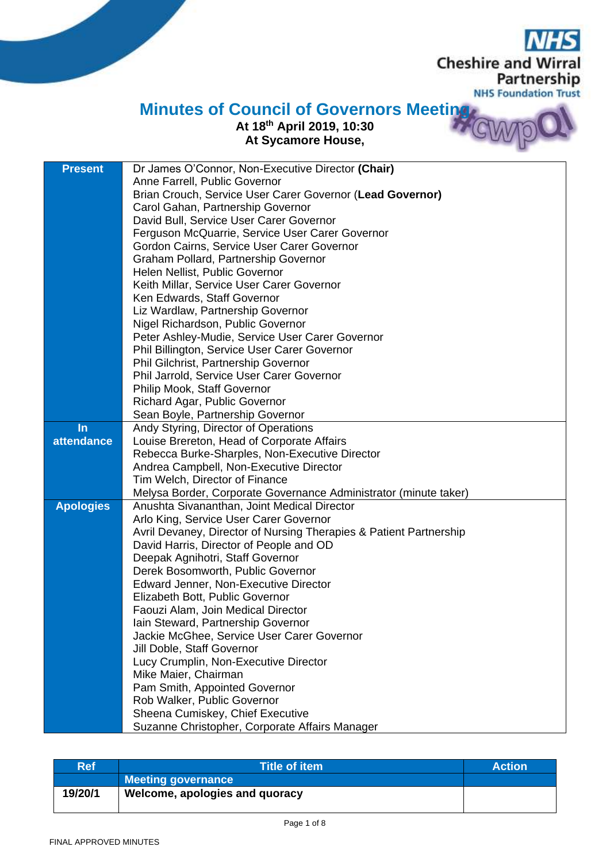**Cheshire and Wirral** Partnership **NHS Foundation Trust** 

## **Minutes of Council of Governors Meeting**

## **At 18th April 2019, 10:30 At Sycamore House,**

| Anne Farrell, Public Governor<br>Brian Crouch, Service User Carer Governor (Lead Governor)<br>Carol Gahan, Partnership Governor<br>David Bull, Service User Carer Governor |  |
|----------------------------------------------------------------------------------------------------------------------------------------------------------------------------|--|
|                                                                                                                                                                            |  |
|                                                                                                                                                                            |  |
|                                                                                                                                                                            |  |
|                                                                                                                                                                            |  |
| Ferguson McQuarrie, Service User Carer Governor                                                                                                                            |  |
| Gordon Cairns, Service User Carer Governor                                                                                                                                 |  |
| Graham Pollard, Partnership Governor                                                                                                                                       |  |
| Helen Nellist, Public Governor                                                                                                                                             |  |
| Keith Millar, Service User Carer Governor                                                                                                                                  |  |
| Ken Edwards, Staff Governor                                                                                                                                                |  |
| Liz Wardlaw, Partnership Governor                                                                                                                                          |  |
| Nigel Richardson, Public Governor                                                                                                                                          |  |
| Peter Ashley-Mudie, Service User Carer Governor                                                                                                                            |  |
| Phil Billington, Service User Carer Governor                                                                                                                               |  |
| Phil Gilchrist, Partnership Governor                                                                                                                                       |  |
| Phil Jarrold, Service User Carer Governor                                                                                                                                  |  |
| Philip Mook, Staff Governor                                                                                                                                                |  |
| Richard Agar, Public Governor                                                                                                                                              |  |
| Sean Boyle, Partnership Governor                                                                                                                                           |  |
| In<br>Andy Styring, Director of Operations                                                                                                                                 |  |
| attendance<br>Louise Brereton, Head of Corporate Affairs                                                                                                                   |  |
| Rebecca Burke-Sharples, Non-Executive Director                                                                                                                             |  |
| Andrea Campbell, Non-Executive Director                                                                                                                                    |  |
| Tim Welch, Director of Finance                                                                                                                                             |  |
| Melysa Border, Corporate Governance Administrator (minute taker)                                                                                                           |  |
| <b>Apologies</b><br>Anushta Sivananthan, Joint Medical Director                                                                                                            |  |
| Arlo King, Service User Carer Governor<br>Avril Devaney, Director of Nursing Therapies & Patient Partnership                                                               |  |
| David Harris, Director of People and OD                                                                                                                                    |  |
| Deepak Agnihotri, Staff Governor                                                                                                                                           |  |
| Derek Bosomworth, Public Governor                                                                                                                                          |  |
| Edward Jenner, Non-Executive Director                                                                                                                                      |  |
| Elizabeth Bott, Public Governor                                                                                                                                            |  |
| Faouzi Alam, Join Medical Director                                                                                                                                         |  |
| Iain Steward, Partnership Governor                                                                                                                                         |  |
| Jackie McGhee, Service User Carer Governor                                                                                                                                 |  |
| Jill Doble, Staff Governor                                                                                                                                                 |  |
| Lucy Crumplin, Non-Executive Director                                                                                                                                      |  |
| Mike Maier, Chairman                                                                                                                                                       |  |
| Pam Smith, Appointed Governor                                                                                                                                              |  |
| Rob Walker, Public Governor                                                                                                                                                |  |
| Sheena Cumiskey, Chief Executive                                                                                                                                           |  |
| Suzanne Christopher, Corporate Affairs Manager                                                                                                                             |  |

| <b>Ref</b> | <b>Title of item</b>           | <b>Action</b> |
|------------|--------------------------------|---------------|
|            | <b>Meeting governance</b>      |               |
| 19/20/1    | Welcome, apologies and quoracy |               |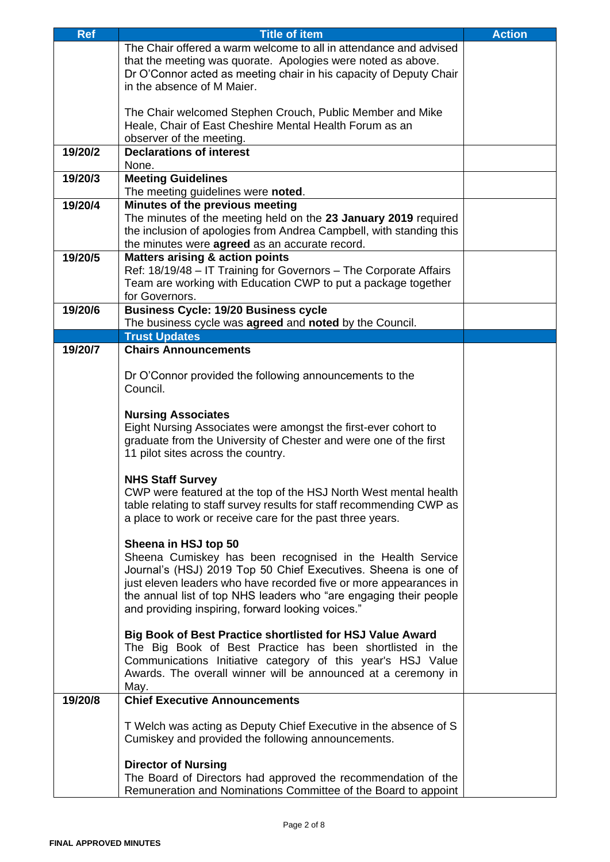| <b>Ref</b> | <b>Title of item</b>                                                                                                         | <b>Action</b> |
|------------|------------------------------------------------------------------------------------------------------------------------------|---------------|
|            | The Chair offered a warm welcome to all in attendance and advised                                                            |               |
|            | that the meeting was quorate. Apologies were noted as above.                                                                 |               |
|            | Dr O'Connor acted as meeting chair in his capacity of Deputy Chair                                                           |               |
|            | in the absence of M Maier.                                                                                                   |               |
|            |                                                                                                                              |               |
|            | The Chair welcomed Stephen Crouch, Public Member and Mike                                                                    |               |
|            | Heale, Chair of East Cheshire Mental Health Forum as an                                                                      |               |
|            | observer of the meeting.                                                                                                     |               |
| 19/20/2    | <b>Declarations of interest</b>                                                                                              |               |
|            | None.                                                                                                                        |               |
| 19/20/3    | <b>Meeting Guidelines</b>                                                                                                    |               |
| 19/20/4    | The meeting guidelines were noted.<br>Minutes of the previous meeting                                                        |               |
|            | The minutes of the meeting held on the 23 January 2019 required                                                              |               |
|            | the inclusion of apologies from Andrea Campbell, with standing this                                                          |               |
|            | the minutes were agreed as an accurate record.                                                                               |               |
| 19/20/5    | <b>Matters arising &amp; action points</b>                                                                                   |               |
|            | Ref: 18/19/48 - IT Training for Governors - The Corporate Affairs                                                            |               |
|            | Team are working with Education CWP to put a package together                                                                |               |
|            | for Governors.                                                                                                               |               |
| 19/20/6    | <b>Business Cycle: 19/20 Business cycle</b>                                                                                  |               |
|            | The business cycle was agreed and noted by the Council.                                                                      |               |
|            | <b>Trust Updates</b>                                                                                                         |               |
| 19/20/7    | <b>Chairs Announcements</b>                                                                                                  |               |
|            |                                                                                                                              |               |
|            | Dr O'Connor provided the following announcements to the                                                                      |               |
|            | Council.                                                                                                                     |               |
|            |                                                                                                                              |               |
|            | <b>Nursing Associates</b><br>Eight Nursing Associates were amongst the first-ever cohort to                                  |               |
|            | graduate from the University of Chester and were one of the first                                                            |               |
|            | 11 pilot sites across the country.                                                                                           |               |
|            |                                                                                                                              |               |
|            | <b>NHS Staff Survey</b>                                                                                                      |               |
|            | CWP were featured at the top of the HSJ North West mental health                                                             |               |
|            | table relating to staff survey results for staff recommending CWP as                                                         |               |
|            | a place to work or receive care for the past three years.                                                                    |               |
|            |                                                                                                                              |               |
|            | Sheena in HSJ top 50                                                                                                         |               |
|            | Sheena Cumiskey has been recognised in the Health Service                                                                    |               |
|            | Journal's (HSJ) 2019 Top 50 Chief Executives. Sheena is one of                                                               |               |
|            | just eleven leaders who have recorded five or more appearances in                                                            |               |
|            | the annual list of top NHS leaders who "are engaging their people                                                            |               |
|            | and providing inspiring, forward looking voices."                                                                            |               |
|            |                                                                                                                              |               |
|            | Big Book of Best Practice shortlisted for HSJ Value Award                                                                    |               |
|            | The Big Book of Best Practice has been shortlisted in the                                                                    |               |
|            | Communications Initiative category of this year's HSJ Value<br>Awards. The overall winner will be announced at a ceremony in |               |
|            | May.                                                                                                                         |               |
| 19/20/8    | <b>Chief Executive Announcements</b>                                                                                         |               |
|            |                                                                                                                              |               |
|            | T Welch was acting as Deputy Chief Executive in the absence of S                                                             |               |
|            | Cumiskey and provided the following announcements.                                                                           |               |
|            |                                                                                                                              |               |
|            | <b>Director of Nursing</b>                                                                                                   |               |
|            | The Board of Directors had approved the recommendation of the                                                                |               |
|            | Remuneration and Nominations Committee of the Board to appoint                                                               |               |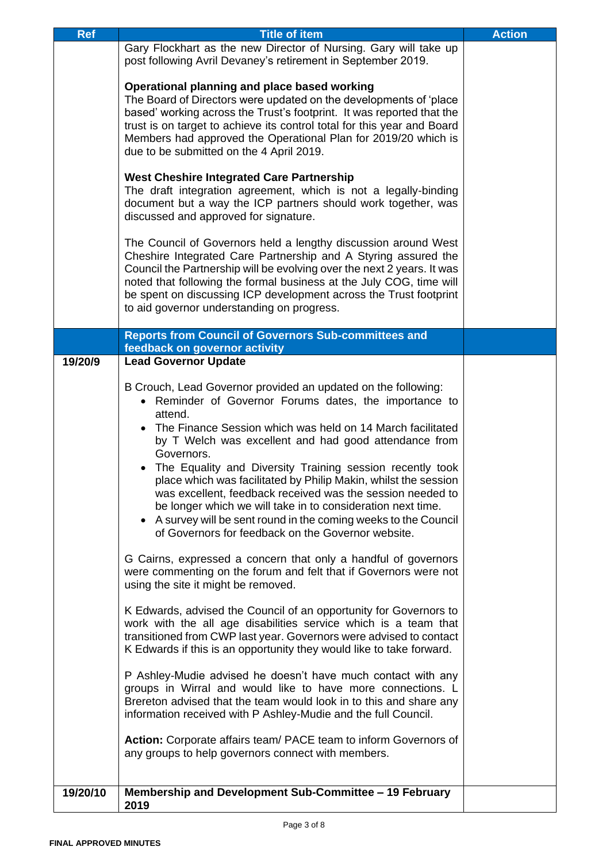| <b>Ref</b> | <b>Title of item</b>                                                                                                                                                                                                                                                                                                                                                                                                                                                                                                                                                                                                                                                                                                                                                                                                                                                                                                                                                                                                                                                                                                                                                                                                                                                                                                                                                                                                                                                       | <b>Action</b> |
|------------|----------------------------------------------------------------------------------------------------------------------------------------------------------------------------------------------------------------------------------------------------------------------------------------------------------------------------------------------------------------------------------------------------------------------------------------------------------------------------------------------------------------------------------------------------------------------------------------------------------------------------------------------------------------------------------------------------------------------------------------------------------------------------------------------------------------------------------------------------------------------------------------------------------------------------------------------------------------------------------------------------------------------------------------------------------------------------------------------------------------------------------------------------------------------------------------------------------------------------------------------------------------------------------------------------------------------------------------------------------------------------------------------------------------------------------------------------------------------------|---------------|
|            | Gary Flockhart as the new Director of Nursing. Gary will take up<br>post following Avril Devaney's retirement in September 2019.                                                                                                                                                                                                                                                                                                                                                                                                                                                                                                                                                                                                                                                                                                                                                                                                                                                                                                                                                                                                                                                                                                                                                                                                                                                                                                                                           |               |
|            | Operational planning and place based working<br>The Board of Directors were updated on the developments of 'place<br>based' working across the Trust's footprint. It was reported that the<br>trust is on target to achieve its control total for this year and Board<br>Members had approved the Operational Plan for 2019/20 which is<br>due to be submitted on the 4 April 2019.                                                                                                                                                                                                                                                                                                                                                                                                                                                                                                                                                                                                                                                                                                                                                                                                                                                                                                                                                                                                                                                                                        |               |
|            | <b>West Cheshire Integrated Care Partnership</b><br>The draft integration agreement, which is not a legally-binding<br>document but a way the ICP partners should work together, was<br>discussed and approved for signature.                                                                                                                                                                                                                                                                                                                                                                                                                                                                                                                                                                                                                                                                                                                                                                                                                                                                                                                                                                                                                                                                                                                                                                                                                                              |               |
|            | The Council of Governors held a lengthy discussion around West<br>Cheshire Integrated Care Partnership and A Styring assured the<br>Council the Partnership will be evolving over the next 2 years. It was<br>noted that following the formal business at the July COG, time will<br>be spent on discussing ICP development across the Trust footprint<br>to aid governor understanding on progress.                                                                                                                                                                                                                                                                                                                                                                                                                                                                                                                                                                                                                                                                                                                                                                                                                                                                                                                                                                                                                                                                       |               |
|            | <b>Reports from Council of Governors Sub-committees and</b>                                                                                                                                                                                                                                                                                                                                                                                                                                                                                                                                                                                                                                                                                                                                                                                                                                                                                                                                                                                                                                                                                                                                                                                                                                                                                                                                                                                                                |               |
| 19/20/9    | feedback on governor activity<br><b>Lead Governor Update</b>                                                                                                                                                                                                                                                                                                                                                                                                                                                                                                                                                                                                                                                                                                                                                                                                                                                                                                                                                                                                                                                                                                                                                                                                                                                                                                                                                                                                               |               |
|            | B Crouch, Lead Governor provided an updated on the following:<br>• Reminder of Governor Forums dates, the importance to<br>attend.<br>The Finance Session which was held on 14 March facilitated<br>by T Welch was excellent and had good attendance from<br>Governors.<br>The Equality and Diversity Training session recently took<br>place which was facilitated by Philip Makin, whilst the session<br>was excellent, feedback received was the session needed to<br>be longer which we will take in to consideration next time.<br>A survey will be sent round in the coming weeks to the Council<br>of Governors for feedback on the Governor website.<br>G Cairns, expressed a concern that only a handful of governors<br>were commenting on the forum and felt that if Governors were not<br>using the site it might be removed.<br>K Edwards, advised the Council of an opportunity for Governors to<br>work with the all age disabilities service which is a team that<br>transitioned from CWP last year. Governors were advised to contact<br>K Edwards if this is an opportunity they would like to take forward.<br>P Ashley-Mudie advised he doesn't have much contact with any<br>groups in Wirral and would like to have more connections. L<br>Brereton advised that the team would look in to this and share any<br>information received with P Ashley-Mudie and the full Council.<br>Action: Corporate affairs team/ PACE team to inform Governors of |               |
|            | any groups to help governors connect with members.                                                                                                                                                                                                                                                                                                                                                                                                                                                                                                                                                                                                                                                                                                                                                                                                                                                                                                                                                                                                                                                                                                                                                                                                                                                                                                                                                                                                                         |               |
| 19/20/10   | Membership and Development Sub-Committee - 19 February<br>2019                                                                                                                                                                                                                                                                                                                                                                                                                                                                                                                                                                                                                                                                                                                                                                                                                                                                                                                                                                                                                                                                                                                                                                                                                                                                                                                                                                                                             |               |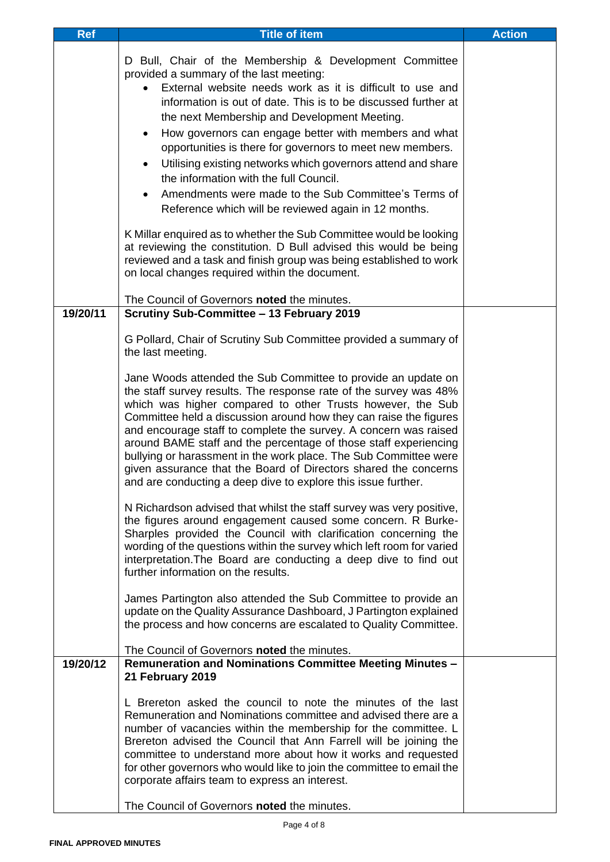| <b>Ref</b> | <b>Title of item</b>                                                                                                                                                                                                                                                                                                                                                                                                                                                                                                                                                                                                                                                                                                                           | <b>Action</b> |
|------------|------------------------------------------------------------------------------------------------------------------------------------------------------------------------------------------------------------------------------------------------------------------------------------------------------------------------------------------------------------------------------------------------------------------------------------------------------------------------------------------------------------------------------------------------------------------------------------------------------------------------------------------------------------------------------------------------------------------------------------------------|---------------|
|            | D Bull, Chair of the Membership & Development Committee<br>provided a summary of the last meeting:<br>External website needs work as it is difficult to use and<br>information is out of date. This is to be discussed further at<br>the next Membership and Development Meeting.<br>How governors can engage better with members and what<br>$\bullet$<br>opportunities is there for governors to meet new members.<br>Utilising existing networks which governors attend and share<br>$\bullet$<br>the information with the full Council.<br>Amendments were made to the Sub Committee's Terms of<br>$\bullet$<br>Reference which will be reviewed again in 12 months.<br>K Millar enquired as to whether the Sub Committee would be looking |               |
|            | at reviewing the constitution. D Bull advised this would be being<br>reviewed and a task and finish group was being established to work<br>on local changes required within the document.                                                                                                                                                                                                                                                                                                                                                                                                                                                                                                                                                      |               |
| 19/20/11   | The Council of Governors noted the minutes.<br>Scrutiny Sub-Committee - 13 February 2019                                                                                                                                                                                                                                                                                                                                                                                                                                                                                                                                                                                                                                                       |               |
|            | G Pollard, Chair of Scrutiny Sub Committee provided a summary of<br>the last meeting.<br>Jane Woods attended the Sub Committee to provide an update on<br>the staff survey results. The response rate of the survey was 48%<br>which was higher compared to other Trusts however, the Sub<br>Committee held a discussion around how they can raise the figures<br>and encourage staff to complete the survey. A concern was raised                                                                                                                                                                                                                                                                                                             |               |
|            | around BAME staff and the percentage of those staff experiencing<br>bullying or harassment in the work place. The Sub Committee were<br>given assurance that the Board of Directors shared the concerns<br>and are conducting a deep dive to explore this issue further.<br>N Richardson advised that whilst the staff survey was very positive,<br>the figures around engagement caused some concern. R Burke-<br>Sharples provided the Council with clarification concerning the<br>wording of the questions within the survey which left room for varied<br>interpretation. The Board are conducting a deep dive to find out<br>further information on the results.                                                                         |               |
|            | James Partington also attended the Sub Committee to provide an<br>update on the Quality Assurance Dashboard, J Partington explained<br>the process and how concerns are escalated to Quality Committee.<br>The Council of Governors noted the minutes.                                                                                                                                                                                                                                                                                                                                                                                                                                                                                         |               |
| 19/20/12   | <b>Remuneration and Nominations Committee Meeting Minutes -</b>                                                                                                                                                                                                                                                                                                                                                                                                                                                                                                                                                                                                                                                                                |               |
|            | 21 February 2019<br>L Brereton asked the council to note the minutes of the last<br>Remuneration and Nominations committee and advised there are a<br>number of vacancies within the membership for the committee. L<br>Brereton advised the Council that Ann Farrell will be joining the<br>committee to understand more about how it works and requested<br>for other governors who would like to join the committee to email the<br>corporate affairs team to express an interest.<br>The Council of Governors noted the minutes.                                                                                                                                                                                                           |               |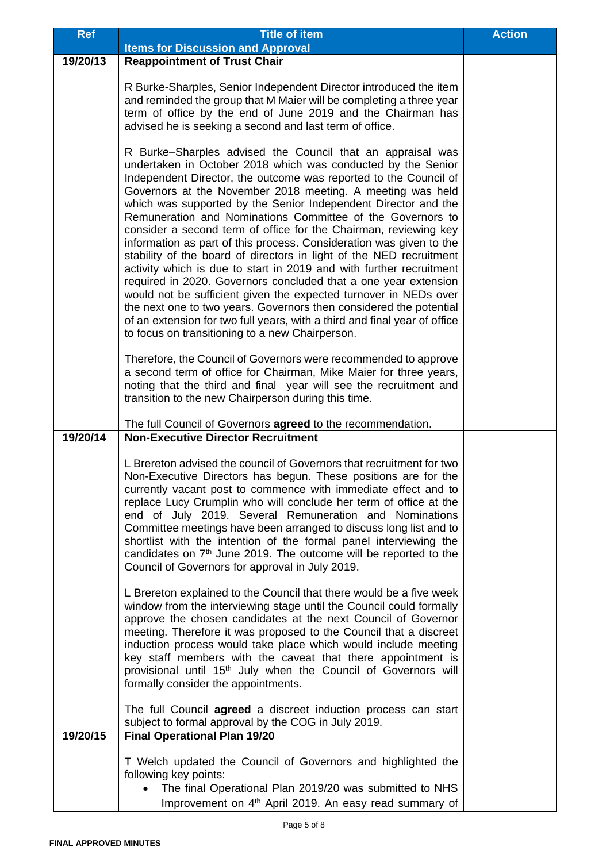| <b>Ref</b> | <b>Title of item</b>                                                                                                                                                                                                                                                                                                                                                                                                                                                                                                                                                                                                                                                                                                                                                                                                                                                                                                                                                                                                               | <b>Action</b> |
|------------|------------------------------------------------------------------------------------------------------------------------------------------------------------------------------------------------------------------------------------------------------------------------------------------------------------------------------------------------------------------------------------------------------------------------------------------------------------------------------------------------------------------------------------------------------------------------------------------------------------------------------------------------------------------------------------------------------------------------------------------------------------------------------------------------------------------------------------------------------------------------------------------------------------------------------------------------------------------------------------------------------------------------------------|---------------|
|            | <b>Items for Discussion and Approval</b>                                                                                                                                                                                                                                                                                                                                                                                                                                                                                                                                                                                                                                                                                                                                                                                                                                                                                                                                                                                           |               |
| 19/20/13   | <b>Reappointment of Trust Chair</b>                                                                                                                                                                                                                                                                                                                                                                                                                                                                                                                                                                                                                                                                                                                                                                                                                                                                                                                                                                                                |               |
|            | R Burke-Sharples, Senior Independent Director introduced the item<br>and reminded the group that M Maier will be completing a three year<br>term of office by the end of June 2019 and the Chairman has<br>advised he is seeking a second and last term of office.                                                                                                                                                                                                                                                                                                                                                                                                                                                                                                                                                                                                                                                                                                                                                                 |               |
|            | R Burke–Sharples advised the Council that an appraisal was<br>undertaken in October 2018 which was conducted by the Senior<br>Independent Director, the outcome was reported to the Council of<br>Governors at the November 2018 meeting. A meeting was held<br>which was supported by the Senior Independent Director and the<br>Remuneration and Nominations Committee of the Governors to<br>consider a second term of office for the Chairman, reviewing key<br>information as part of this process. Consideration was given to the<br>stability of the board of directors in light of the NED recruitment<br>activity which is due to start in 2019 and with further recruitment<br>required in 2020. Governors concluded that a one year extension<br>would not be sufficient given the expected turnover in NEDs over<br>the next one to two years. Governors then considered the potential<br>of an extension for two full years, with a third and final year of office<br>to focus on transitioning to a new Chairperson. |               |
|            | Therefore, the Council of Governors were recommended to approve<br>a second term of office for Chairman, Mike Maier for three years,<br>noting that the third and final year will see the recruitment and<br>transition to the new Chairperson during this time.<br>The full Council of Governors agreed to the recommendation.                                                                                                                                                                                                                                                                                                                                                                                                                                                                                                                                                                                                                                                                                                    |               |
| 19/20/14   | <b>Non-Executive Director Recruitment</b>                                                                                                                                                                                                                                                                                                                                                                                                                                                                                                                                                                                                                                                                                                                                                                                                                                                                                                                                                                                          |               |
|            | L Brereton advised the council of Governors that recruitment for two<br>Non-Executive Directors has begun. These positions are for the<br>currently vacant post to commence with immediate effect and to<br>replace Lucy Crumplin who will conclude her term of office at the<br>end of July 2019. Several Remuneration and Nominations<br>Committee meetings have been arranged to discuss long list and to<br>shortlist with the intention of the formal panel interviewing the<br>candidates on $7th$ June 2019. The outcome will be reported to the<br>Council of Governors for approval in July 2019.                                                                                                                                                                                                                                                                                                                                                                                                                         |               |
|            | L Brereton explained to the Council that there would be a five week<br>window from the interviewing stage until the Council could formally<br>approve the chosen candidates at the next Council of Governor<br>meeting. Therefore it was proposed to the Council that a discreet<br>induction process would take place which would include meeting<br>key staff members with the caveat that there appointment is<br>provisional until 15 <sup>th</sup> July when the Council of Governors will<br>formally consider the appointments.<br>The full Council agreed a discreet induction process can start                                                                                                                                                                                                                                                                                                                                                                                                                           |               |
| 19/20/15   | subject to formal approval by the COG in July 2019.<br><b>Final Operational Plan 19/20</b>                                                                                                                                                                                                                                                                                                                                                                                                                                                                                                                                                                                                                                                                                                                                                                                                                                                                                                                                         |               |
|            |                                                                                                                                                                                                                                                                                                                                                                                                                                                                                                                                                                                                                                                                                                                                                                                                                                                                                                                                                                                                                                    |               |
|            | T Welch updated the Council of Governors and highlighted the                                                                                                                                                                                                                                                                                                                                                                                                                                                                                                                                                                                                                                                                                                                                                                                                                                                                                                                                                                       |               |
|            | following key points:                                                                                                                                                                                                                                                                                                                                                                                                                                                                                                                                                                                                                                                                                                                                                                                                                                                                                                                                                                                                              |               |
|            | The final Operational Plan 2019/20 was submitted to NHS                                                                                                                                                                                                                                                                                                                                                                                                                                                                                                                                                                                                                                                                                                                                                                                                                                                                                                                                                                            |               |
|            | Improvement on 4 <sup>th</sup> April 2019. An easy read summary of                                                                                                                                                                                                                                                                                                                                                                                                                                                                                                                                                                                                                                                                                                                                                                                                                                                                                                                                                                 |               |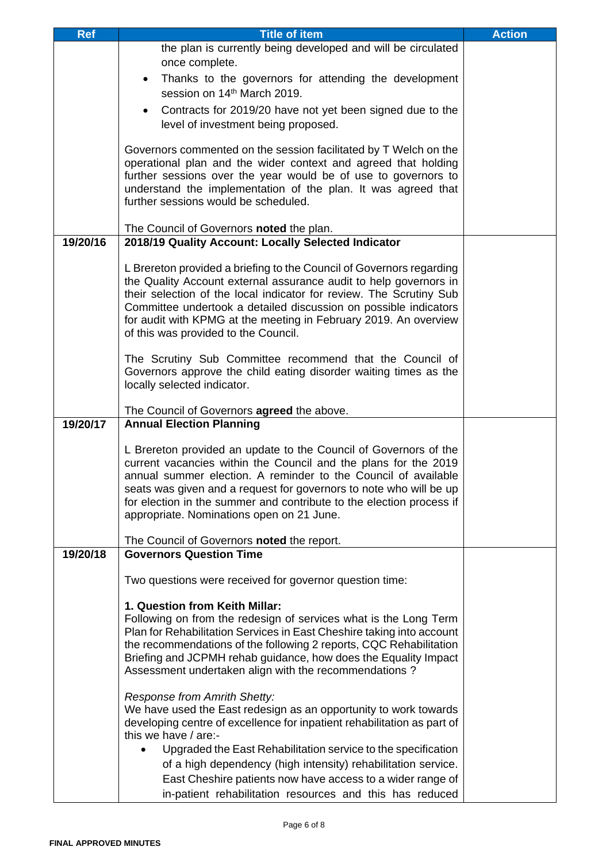| <b>Ref</b> | <b>Title of item</b>                                                                                              | <b>Action</b> |
|------------|-------------------------------------------------------------------------------------------------------------------|---------------|
|            | the plan is currently being developed and will be circulated                                                      |               |
|            | once complete.                                                                                                    |               |
|            | Thanks to the governors for attending the development                                                             |               |
|            | session on 14th March 2019.                                                                                       |               |
|            | Contracts for 2019/20 have not yet been signed due to the                                                         |               |
|            | level of investment being proposed.                                                                               |               |
|            |                                                                                                                   |               |
|            | Governors commented on the session facilitated by T Welch on the                                                  |               |
|            | operational plan and the wider context and agreed that holding                                                    |               |
|            | further sessions over the year would be of use to governors to                                                    |               |
|            | understand the implementation of the plan. It was agreed that                                                     |               |
|            | further sessions would be scheduled.                                                                              |               |
|            |                                                                                                                   |               |
|            | The Council of Governors noted the plan.                                                                          |               |
| 19/20/16   | 2018/19 Quality Account: Locally Selected Indicator                                                               |               |
|            | L Brereton provided a briefing to the Council of Governors regarding                                              |               |
|            | the Quality Account external assurance audit to help governors in                                                 |               |
|            | their selection of the local indicator for review. The Scrutiny Sub                                               |               |
|            | Committee undertook a detailed discussion on possible indicators                                                  |               |
|            | for audit with KPMG at the meeting in February 2019. An overview                                                  |               |
|            | of this was provided to the Council.                                                                              |               |
|            |                                                                                                                   |               |
|            | The Scrutiny Sub Committee recommend that the Council of                                                          |               |
|            | Governors approve the child eating disorder waiting times as the                                                  |               |
|            | locally selected indicator.                                                                                       |               |
|            | The Council of Governors agreed the above.                                                                        |               |
| 19/20/17   | <b>Annual Election Planning</b>                                                                                   |               |
|            |                                                                                                                   |               |
|            | L Brereton provided an update to the Council of Governors of the                                                  |               |
|            | current vacancies within the Council and the plans for the 2019                                                   |               |
|            | annual summer election. A reminder to the Council of available                                                    |               |
|            | seats was given and a request for governors to note who will be up                                                |               |
|            | for election in the summer and contribute to the election process if<br>appropriate. Nominations open on 21 June. |               |
|            |                                                                                                                   |               |
|            | The Council of Governors noted the report.                                                                        |               |
| 19/20/18   | <b>Governors Question Time</b>                                                                                    |               |
|            |                                                                                                                   |               |
|            | Two questions were received for governor question time:                                                           |               |
|            |                                                                                                                   |               |
|            | 1. Question from Keith Millar:<br>Following on from the redesign of services what is the Long Term                |               |
|            | Plan for Rehabilitation Services in East Cheshire taking into account                                             |               |
|            | the recommendations of the following 2 reports, CQC Rehabilitation                                                |               |
|            | Briefing and JCPMH rehab guidance, how does the Equality Impact                                                   |               |
|            | Assessment undertaken align with the recommendations?                                                             |               |
|            |                                                                                                                   |               |
|            | Response from Amrith Shetty:                                                                                      |               |
|            | We have used the East redesign as an opportunity to work towards                                                  |               |
|            | developing centre of excellence for inpatient rehabilitation as part of                                           |               |
|            | this we have / are:-                                                                                              |               |
|            | Upgraded the East Rehabilitation service to the specification                                                     |               |
|            | of a high dependency (high intensity) rehabilitation service.                                                     |               |
|            | East Cheshire patients now have access to a wider range of                                                        |               |
|            | in-patient rehabilitation resources and this has reduced                                                          |               |